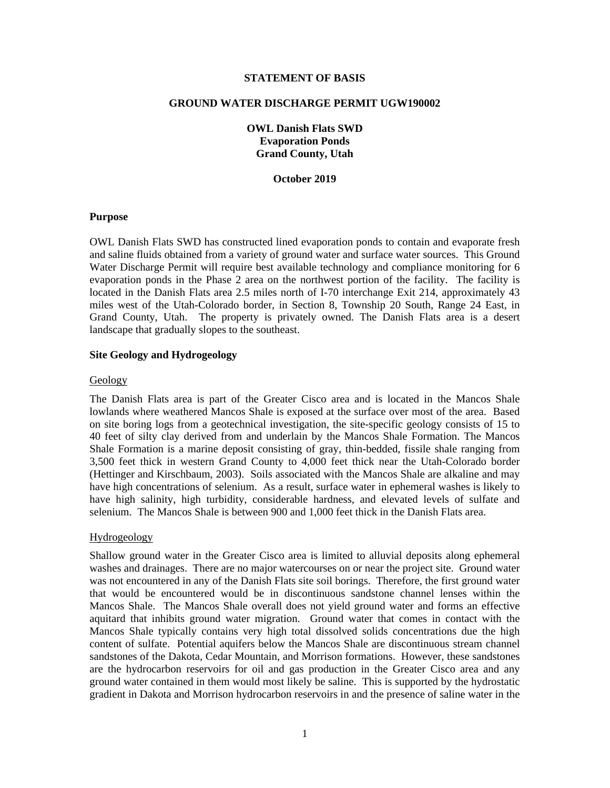#### **STATEMENT OF BASIS**

#### **GROUND WATER DISCHARGE PERMIT UGW190002**

# **OWL Danish Flats SWD Evaporation Ponds Grand County, Utah**

#### **October 2019**

#### **Purpose**

OWL Danish Flats SWD has constructed lined evaporation ponds to contain and evaporate fresh and saline fluids obtained from a variety of ground water and surface water sources. This Ground Water Discharge Permit will require best available technology and compliance monitoring for 6 evaporation ponds in the Phase 2 area on the northwest portion of the facility. The facility is located in the Danish Flats area 2.5 miles north of I-70 interchange Exit 214, approximately 43 miles west of the Utah-Colorado border, in Section 8, Township 20 South, Range 24 East, in Grand County, Utah. The property is privately owned. The Danish Flats area is a desert landscape that gradually slopes to the southeast.

#### **Site Geology and Hydrogeology**

#### Geology

The Danish Flats area is part of the Greater Cisco area and is located in the Mancos Shale lowlands where weathered Mancos Shale is exposed at the surface over most of the area. Based on site boring logs from a geotechnical investigation, the site-specific geology consists of 15 to 40 feet of silty clay derived from and underlain by the Mancos Shale Formation. The Mancos Shale Formation is a marine deposit consisting of gray, thin-bedded, fissile shale ranging from 3,500 feet thick in western Grand County to 4,000 feet thick near the Utah-Colorado border (Hettinger and Kirschbaum, 2003). Soils associated with the Mancos Shale are alkaline and may have high concentrations of selenium. As a result, surface water in ephemeral washes is likely to have high salinity, high turbidity, considerable hardness, and elevated levels of sulfate and selenium. The Mancos Shale is between 900 and 1,000 feet thick in the Danish Flats area.

#### Hydrogeology

Shallow ground water in the Greater Cisco area is limited to alluvial deposits along ephemeral washes and drainages. There are no major watercourses on or near the project site. Ground water was not encountered in any of the Danish Flats site soil borings. Therefore, the first ground water that would be encountered would be in discontinuous sandstone channel lenses within the Mancos Shale. The Mancos Shale overall does not yield ground water and forms an effective aquitard that inhibits ground water migration. Ground water that comes in contact with the Mancos Shale typically contains very high total dissolved solids concentrations due the high content of sulfate. Potential aquifers below the Mancos Shale are discontinuous stream channel sandstones of the Dakota, Cedar Mountain, and Morrison formations. However, these sandstones are the hydrocarbon reservoirs for oil and gas production in the Greater Cisco area and any ground water contained in them would most likely be saline. This is supported by the hydrostatic gradient in Dakota and Morrison hydrocarbon reservoirs in and the presence of saline water in the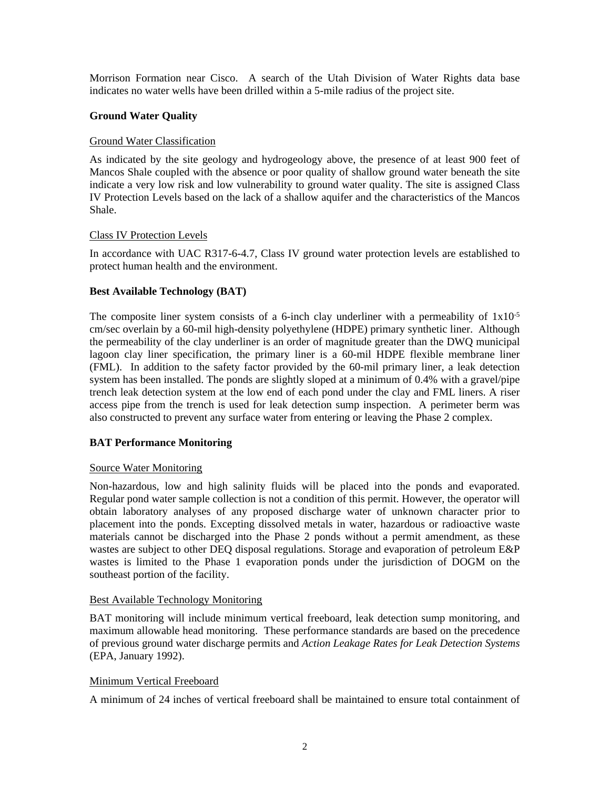Morrison Formation near Cisco. A search of the Utah Division of Water Rights data base indicates no water wells have been drilled within a 5-mile radius of the project site.

# **Ground Water Quality**

#### Ground Water Classification

As indicated by the site geology and hydrogeology above, the presence of at least 900 feet of Mancos Shale coupled with the absence or poor quality of shallow ground water beneath the site indicate a very low risk and low vulnerability to ground water quality. The site is assigned Class IV Protection Levels based on the lack of a shallow aquifer and the characteristics of the Mancos Shale.

## Class IV Protection Levels

In accordance with UAC R317-6-4.7, Class IV ground water protection levels are established to protect human health and the environment.

## **Best Available Technology (BAT)**

The composite liner system consists of a 6-inch clay underliner with a permeability of  $1x10^{-5}$ cm/sec overlain by a 60-mil high-density polyethylene (HDPE) primary synthetic liner. Although the permeability of the clay underliner is an order of magnitude greater than the DWQ municipal lagoon clay liner specification, the primary liner is a 60-mil HDPE flexible membrane liner (FML). In addition to the safety factor provided by the 60-mil primary liner, a leak detection system has been installed. The ponds are slightly sloped at a minimum of 0.4% with a gravel/pipe trench leak detection system at the low end of each pond under the clay and FML liners. A riser access pipe from the trench is used for leak detection sump inspection. A perimeter berm was also constructed to prevent any surface water from entering or leaving the Phase 2 complex.

# **BAT Performance Monitoring**

#### Source Water Monitoring

Non-hazardous, low and high salinity fluids will be placed into the ponds and evaporated. Regular pond water sample collection is not a condition of this permit. However, the operator will obtain laboratory analyses of any proposed discharge water of unknown character prior to placement into the ponds. Excepting dissolved metals in water, hazardous or radioactive waste materials cannot be discharged into the Phase 2 ponds without a permit amendment, as these wastes are subject to other DEQ disposal regulations. Storage and evaporation of petroleum E&P wastes is limited to the Phase 1 evaporation ponds under the jurisdiction of DOGM on the southeast portion of the facility.

# Best Available Technology Monitoring

BAT monitoring will include minimum vertical freeboard, leak detection sump monitoring, and maximum allowable head monitoring. These performance standards are based on the precedence of previous ground water discharge permits and *Action Leakage Rates for Leak Detection Systems* (EPA, January 1992).

#### Minimum Vertical Freeboard

A minimum of 24 inches of vertical freeboard shall be maintained to ensure total containment of